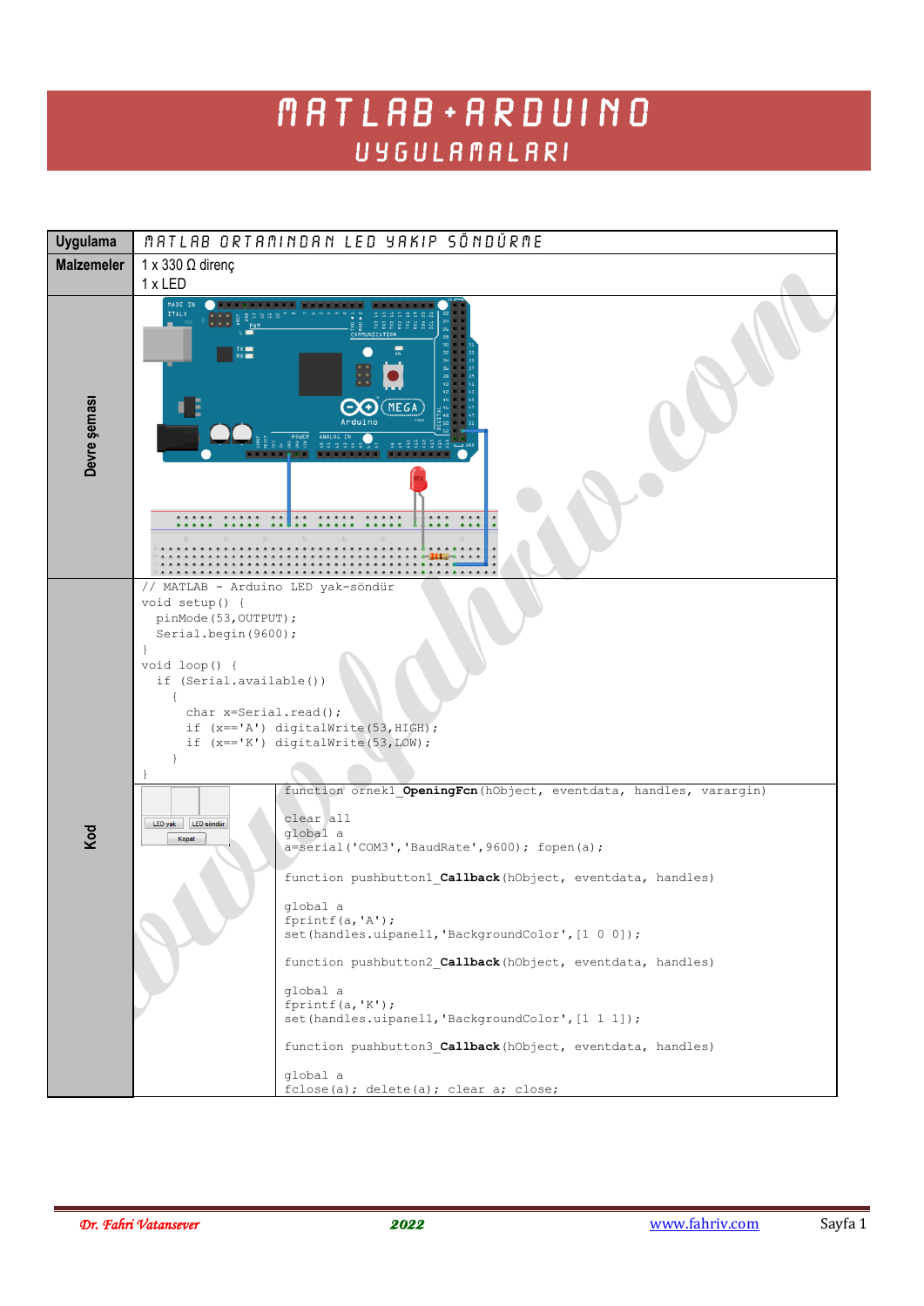## MATLAB + ARDUINO **UYGULAMALARI**

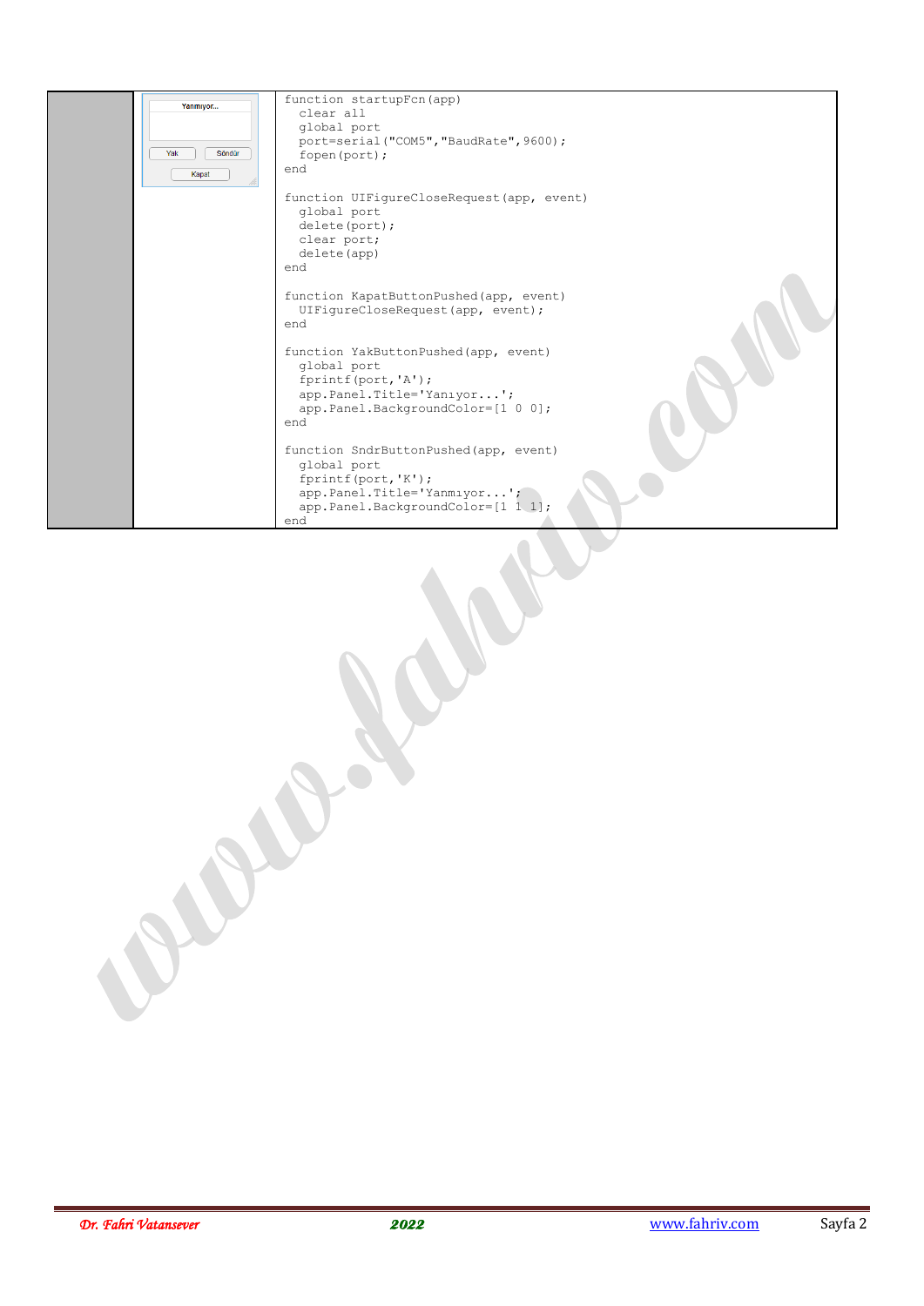| Yanmıyor<br>Söndür<br>Yak<br>Kapat | function startupFcn(app)<br>clear all<br>qlobal port<br>port=serial ("COM5", "BaudRate", 9600);<br>fopen (port);<br>end<br>function UIFiqureCloseRequest(app, event)<br>qlobal port<br>delete(port);<br>clear port;<br>delete (app)<br>end<br>function KapatButtonPushed(app, event)<br>UIFiqureCloseRequest(app, event);<br>end<br>function YakButtonPushed(app, event) |
|------------------------------------|--------------------------------------------------------------------------------------------------------------------------------------------------------------------------------------------------------------------------------------------------------------------------------------------------------------------------------------------------------------------------|
|                                    | qlobal port<br>fprintf(port, 'A');<br>app. Panel. Title='Yanıyor';<br>app.Panel.BackgroundColor=[1 0 0];<br>end                                                                                                                                                                                                                                                          |
|                                    | function SndrButtonPushed (app, event)<br>qlobal port<br>fprintf(port, 'K');<br>app.Panel.Title='Yanmiyor';<br>app.Panel.BackgroundColor=[1 1 1];<br>end                                                                                                                                                                                                                 |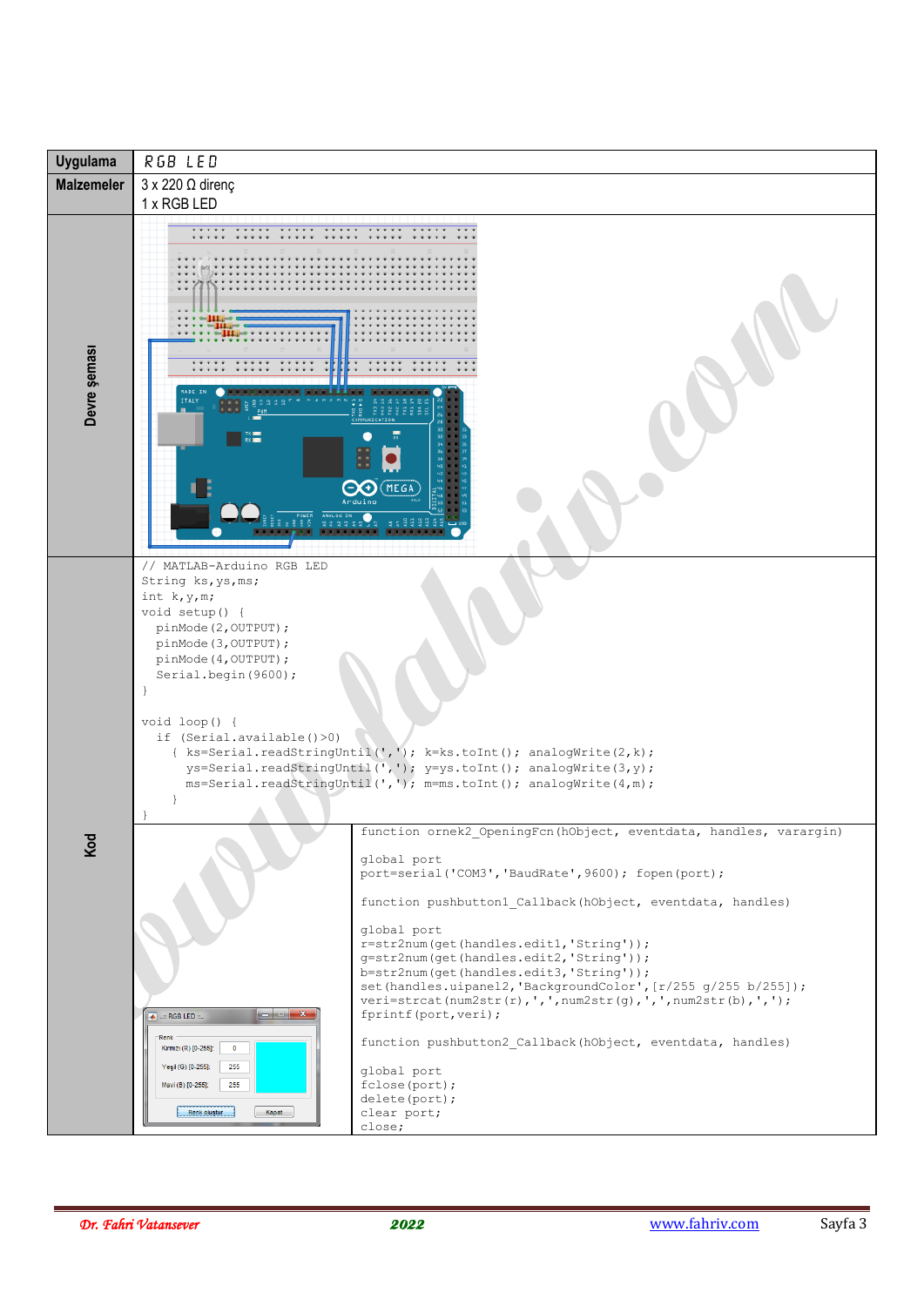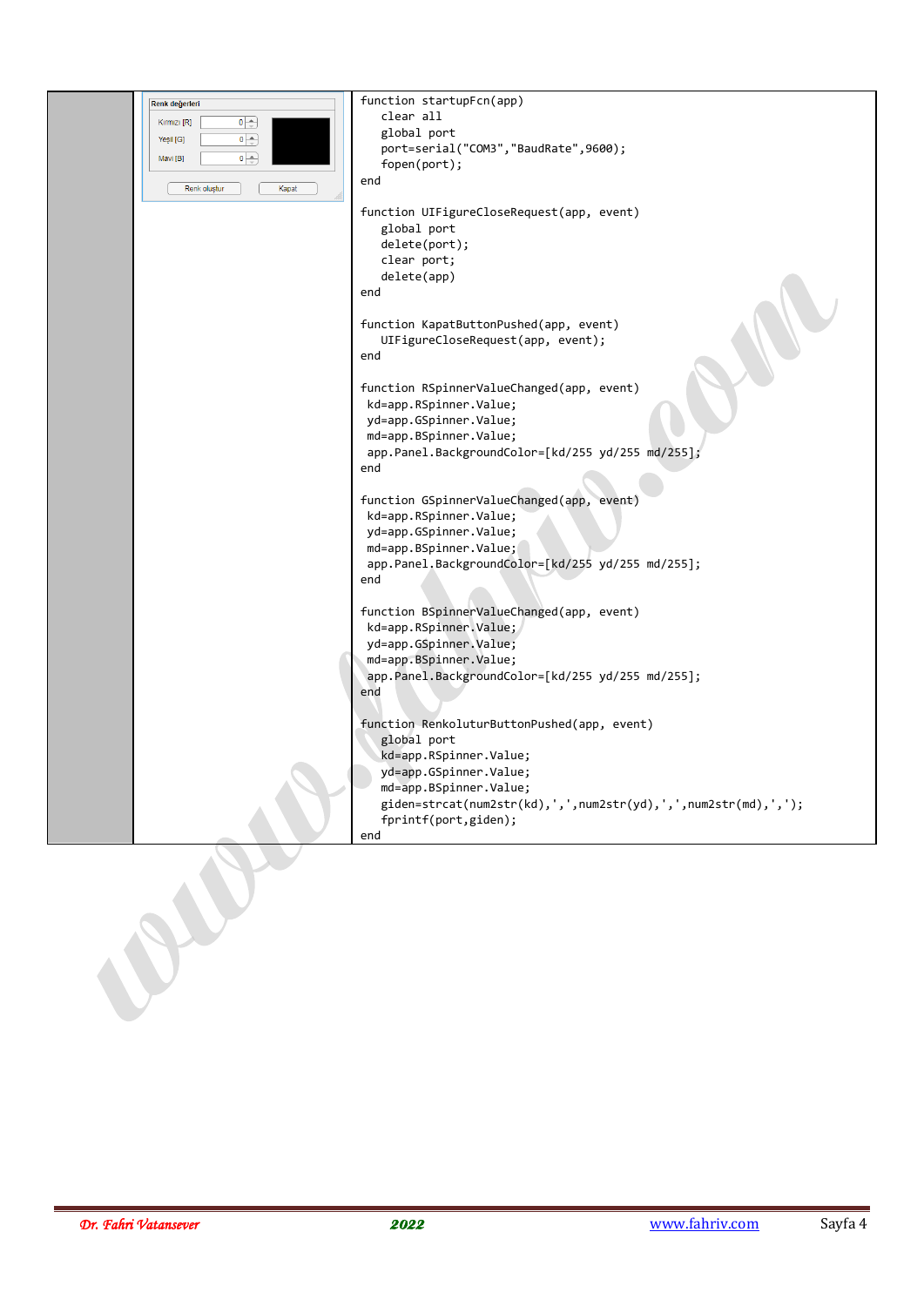| Renk değerleri                    | function startupFcn(app)                                       |
|-----------------------------------|----------------------------------------------------------------|
| $0\rightarrow$<br>Kırmızı [R]     | clear all                                                      |
| $\overline{\bullet}$<br>Yeşil [G] | global port                                                    |
|                                   | port=serial("COM3","BaudRate",9600);                           |
| $\bullet \Rightarrow$<br>Mavi [B] | fopen(port);                                                   |
|                                   | end                                                            |
| Renk olustur<br>Kapat             |                                                                |
|                                   | function UIFigureCloseRequest(app, event)                      |
|                                   | global port                                                    |
|                                   | delete(port);                                                  |
|                                   | clear port;                                                    |
|                                   | delete(app)                                                    |
|                                   | end                                                            |
|                                   |                                                                |
|                                   | function KapatButtonPushed(app, event)                         |
|                                   | UIFigureCloseRequest(app, event);                              |
|                                   | end                                                            |
|                                   |                                                                |
|                                   | function RSpinnerValueChanged(app, event)                      |
|                                   | kd=app.RSpinner.Value;                                         |
|                                   | yd=app.GSpinner.Value;                                         |
|                                   | md=app.BSpinner.Value;                                         |
|                                   | app.Panel.BackgroundColor=[kd/255 yd/255 md/255];              |
|                                   | end                                                            |
|                                   |                                                                |
|                                   | function GSpinnerValueChanged(app, event)                      |
|                                   | kd=app.RSpinner.Value;                                         |
|                                   | yd=app.GSpinner.Value;                                         |
|                                   | md=app.BSpinner.Value;                                         |
|                                   | app.Panel.BackgroundColor=[kd/255 yd/255 md/255];              |
|                                   | end                                                            |
|                                   |                                                                |
|                                   | function BSpinnerValueChanged(app, event)                      |
|                                   | kd=app.RSpinner.Value;                                         |
|                                   | yd=app.GSpinner.Value;                                         |
|                                   | md=app.BSpinner.Value;                                         |
|                                   | app.Panel.BackgroundColor=[kd/255 yd/255 md/255];              |
|                                   | end                                                            |
|                                   |                                                                |
|                                   | function RenkoluturButtonPushed(app, event)                    |
|                                   | global port                                                    |
|                                   | kd=app.RSpinner.Value;                                         |
|                                   | yd=app.GSpinner.Value;                                         |
|                                   | md=app.BSpinner.Value;                                         |
|                                   | giden=strcat(num2str(kd),',',num2str(yd),',',num2str(md),','); |
|                                   | fprintf(port,giden);                                           |
|                                   | end                                                            |
|                                   |                                                                |
|                                   |                                                                |
|                                   |                                                                |
|                                   |                                                                |
|                                   |                                                                |
|                                   |                                                                |
|                                   |                                                                |
|                                   |                                                                |
|                                   |                                                                |
|                                   |                                                                |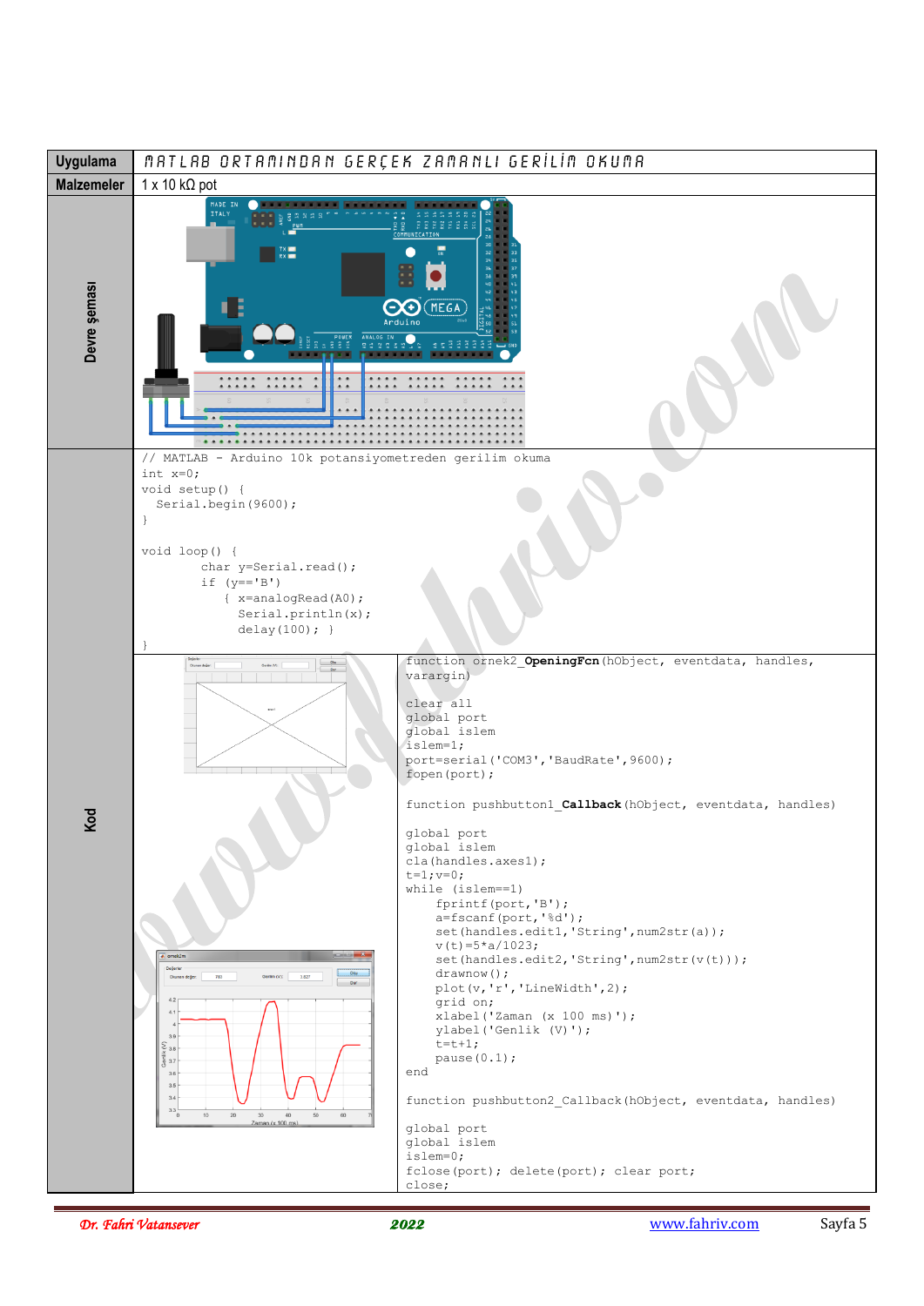

*Dr. Fahri Vatansever* 2022 www.fahriv.com Sayfa 5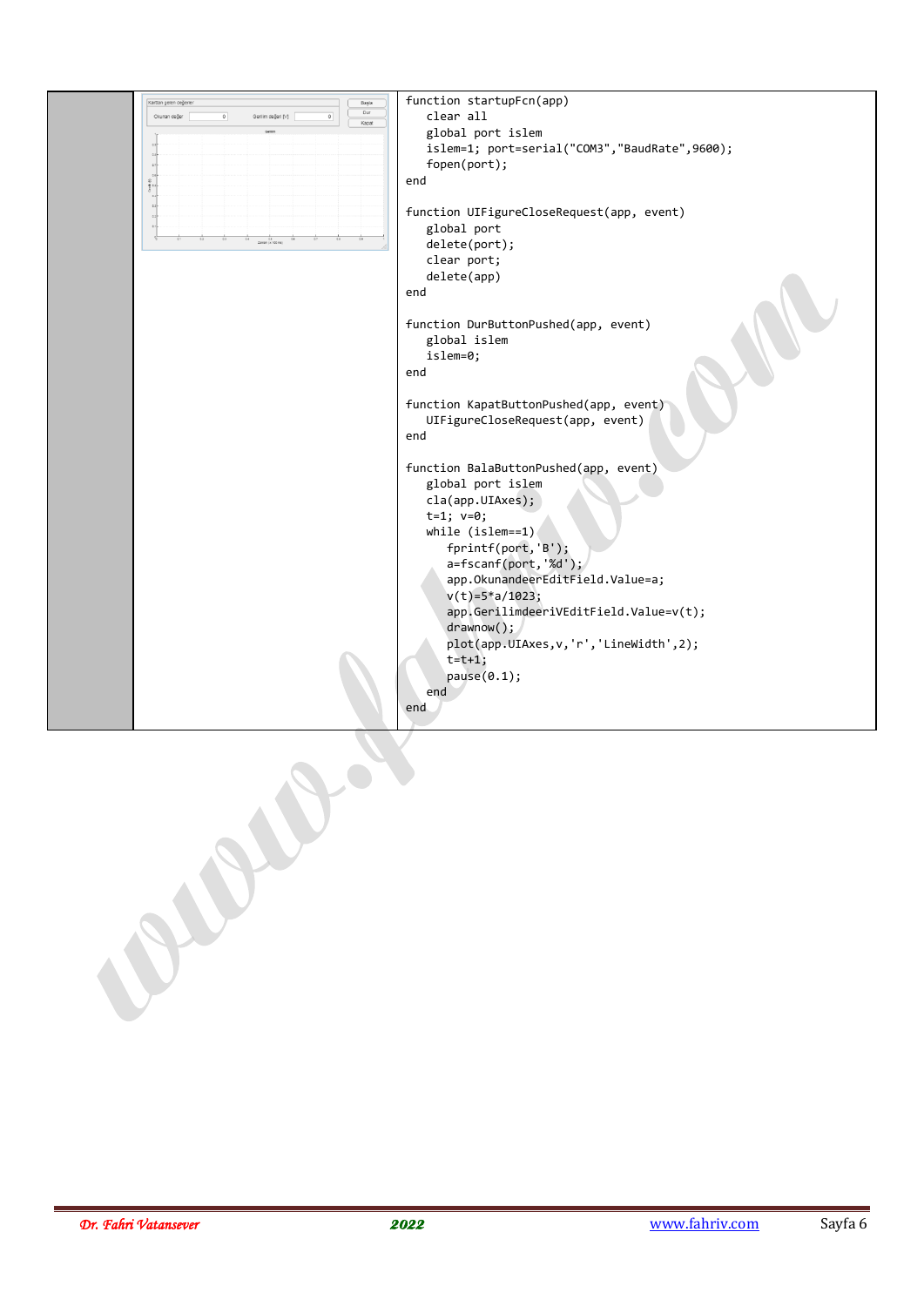| Karttan gelen değerle<br>Başla<br>Dur | function startupFcn(app)                      |
|---------------------------------------|-----------------------------------------------|
| Okunan değer<br>Kapat                 | clear all                                     |
|                                       | global port islem                             |
|                                       | islem=1; port=serial("COM3","BaudRate",9600); |
|                                       | fopen(port);                                  |
|                                       | end                                           |
|                                       |                                               |
|                                       | function UIFigureCloseRequest(app, event)     |
|                                       | global port                                   |
|                                       | delete(port);                                 |
|                                       | clear port;                                   |
|                                       | delete(app)                                   |
|                                       | end                                           |
|                                       |                                               |
|                                       | function DurButtonPushed(app, event)          |
|                                       | global islem                                  |
|                                       |                                               |
|                                       | islem=0;<br>end                               |
|                                       |                                               |
|                                       |                                               |
|                                       | function KapatButtonPushed(app, event)        |
|                                       | UIFigureCloseRequest(app, event)              |
|                                       | end                                           |
|                                       |                                               |
|                                       | function BalaButtonPushed(app, event)         |
|                                       | global port islem                             |
|                                       | cla(app.UIAxes);                              |
|                                       | $t=1; v=0;$                                   |
|                                       | while $(islem==1)$                            |
|                                       | fprintf(port,'B');                            |
|                                       | $a = fscan f(port, '%d')$ ;                   |
|                                       | app.OkunandeerEditField.Value=a;              |
|                                       | $v(t) = 5 * a / 1023;$                        |
|                                       | app.GerilimdeeriVEditField.Value=v(t);        |
|                                       | drawnow();                                    |
|                                       | plot(app.UIAxes, v, 'r', 'LineWidth', 2);     |
|                                       | $t=t+1$ ;                                     |
|                                       | pause(0.1);                                   |
|                                       | end                                           |
|                                       | end                                           |
|                                       |                                               |